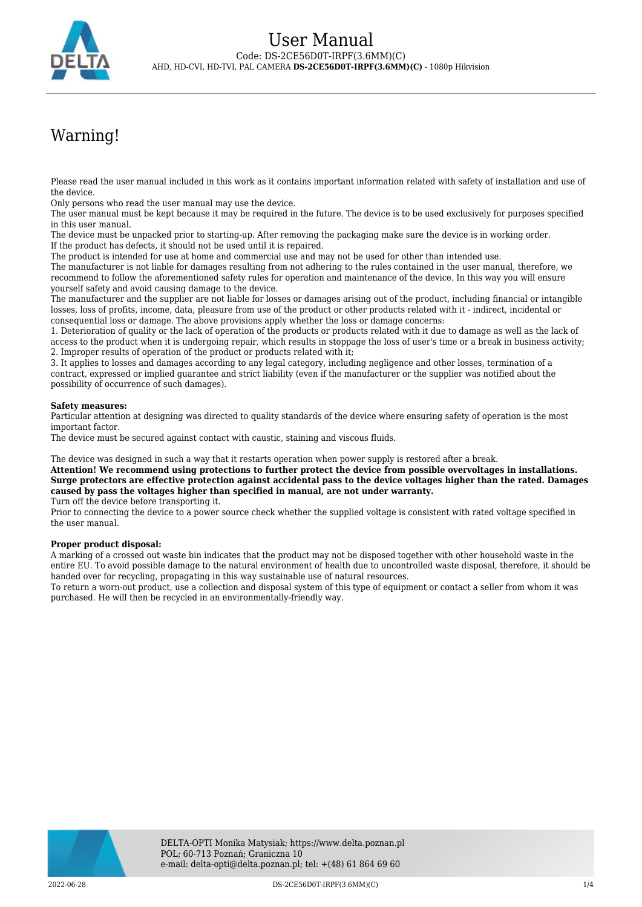

# Warning!

Please read the user manual included in this work as it contains important information related with safety of installation and use of the device.

Only persons who read the user manual may use the device.

The user manual must be kept because it may be required in the future. The device is to be used exclusively for purposes specified in this user manual.

The device must be unpacked prior to starting-up. After removing the packaging make sure the device is in working order. If the product has defects, it should not be used until it is repaired.

The product is intended for use at home and commercial use and may not be used for other than intended use.

The manufacturer is not liable for damages resulting from not adhering to the rules contained in the user manual, therefore, we recommend to follow the aforementioned safety rules for operation and maintenance of the device. In this way you will ensure yourself safety and avoid causing damage to the device.

The manufacturer and the supplier are not liable for losses or damages arising out of the product, including financial or intangible losses, loss of profits, income, data, pleasure from use of the product or other products related with it - indirect, incidental or consequential loss or damage. The above provisions apply whether the loss or damage concerns:

1. Deterioration of quality or the lack of operation of the products or products related with it due to damage as well as the lack of access to the product when it is undergoing repair, which results in stoppage the loss of user's time or a break in business activity; 2. Improper results of operation of the product or products related with it;

3. It applies to losses and damages according to any legal category, including negligence and other losses, termination of a contract, expressed or implied guarantee and strict liability (even if the manufacturer or the supplier was notified about the possibility of occurrence of such damages).

### **Safety measures:**

Particular attention at designing was directed to quality standards of the device where ensuring safety of operation is the most important factor.

The device must be secured against contact with caustic, staining and viscous fluids.

The device was designed in such a way that it restarts operation when power supply is restored after a break.

**Attention! We recommend using protections to further protect the device from possible overvoltages in installations. Surge protectors are effective protection against accidental pass to the device voltages higher than the rated. Damages caused by pass the voltages higher than specified in manual, are not under warranty.**

Turn off the device before transporting it.

Prior to connecting the device to a power source check whether the supplied voltage is consistent with rated voltage specified in the user manual.

#### **Proper product disposal:**

A marking of a crossed out waste bin indicates that the product may not be disposed together with other household waste in the entire EU. To avoid possible damage to the natural environment of health due to uncontrolled waste disposal, therefore, it should be handed over for recycling, propagating in this way sustainable use of natural resources.

To return a worn-out product, use a collection and disposal system of this type of equipment or contact a seller from whom it was purchased. He will then be recycled in an environmentally-friendly way.

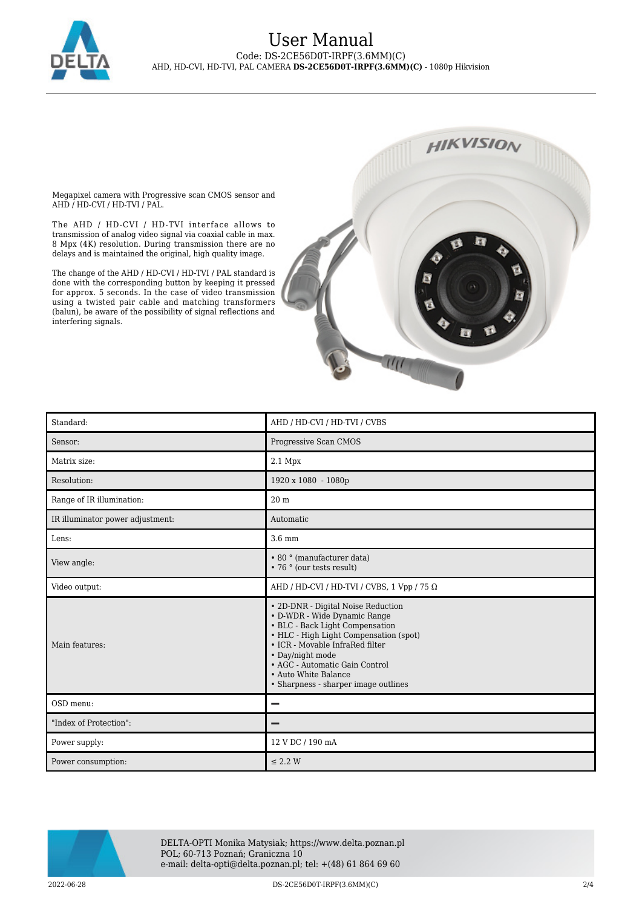

## User Manual Code: DS-2CE56D0T-IRPF(3.6MM)(C) AHD, HD-CVI, HD-TVI, PAL CAMERA **DS-2CE56D0T-IRPF(3.6MM)(C)** - 1080p Hikvision

Megapixel camera with Progressive scan CMOS sensor and AHD / HD-CVI / HD-TVI / PAL.

The AHD / HD-CVI / HD-TVI interface allows to transmission of analog video signal via coaxial cable in max. 8 Mpx (4K) resolution. During transmission there are no delays and is maintained the original, high quality image.

The change of the AHD / HD-CVI / HD-TVI / PAL standard is done with the corresponding button by keeping it pressed for approx. 5 seconds. In the case of video transmission using a twisted pair cable and matching transformers (balun), be aware of the possibility of signal reflections and interfering signals.



| Standard:                        | AHD / HD-CVI / HD-TVI / CVBS                                                                                                                                                                                                                                                                             |
|----------------------------------|----------------------------------------------------------------------------------------------------------------------------------------------------------------------------------------------------------------------------------------------------------------------------------------------------------|
| Sensor:                          | Progressive Scan CMOS                                                                                                                                                                                                                                                                                    |
| Matrix size:                     | $2.1$ Mpx                                                                                                                                                                                                                                                                                                |
| Resolution:                      | 1920 x 1080 - 1080p                                                                                                                                                                                                                                                                                      |
| Range of IR illumination:        | 20 <sub>m</sub>                                                                                                                                                                                                                                                                                          |
| IR illuminator power adjustment: | Automatic                                                                                                                                                                                                                                                                                                |
| Lens:                            | 3.6 mm                                                                                                                                                                                                                                                                                                   |
| View angle:                      | • 80 ° (manufacturer data)<br>• 76 ° (our tests result)                                                                                                                                                                                                                                                  |
| Video output:                    | AHD / HD-CVI / HD-TVI / CVBS, 1 Vpp / 75 $\Omega$                                                                                                                                                                                                                                                        |
| Main features:                   | • 2D-DNR - Digital Noise Reduction<br>• D-WDR - Wide Dynamic Range<br>• BLC - Back Light Compensation<br>• HLC - High Light Compensation (spot)<br>• ICR - Movable InfraRed filter<br>• Day/night mode<br>• AGC - Automatic Gain Control<br>• Auto White Balance<br>• Sharpness - sharper image outlines |
| OSD menu:                        |                                                                                                                                                                                                                                                                                                          |
| "Index of Protection":           |                                                                                                                                                                                                                                                                                                          |
| Power supply:                    | 12 V DC / 190 mA                                                                                                                                                                                                                                                                                         |
| Power consumption:               | $\leq$ 2.2 W                                                                                                                                                                                                                                                                                             |



DELTA-OPTI Monika Matysiak; https://www.delta.poznan.pl POL; 60-713 Poznań; Graniczna 10 e-mail: delta-opti@delta.poznan.pl; tel: +(48) 61 864 69 60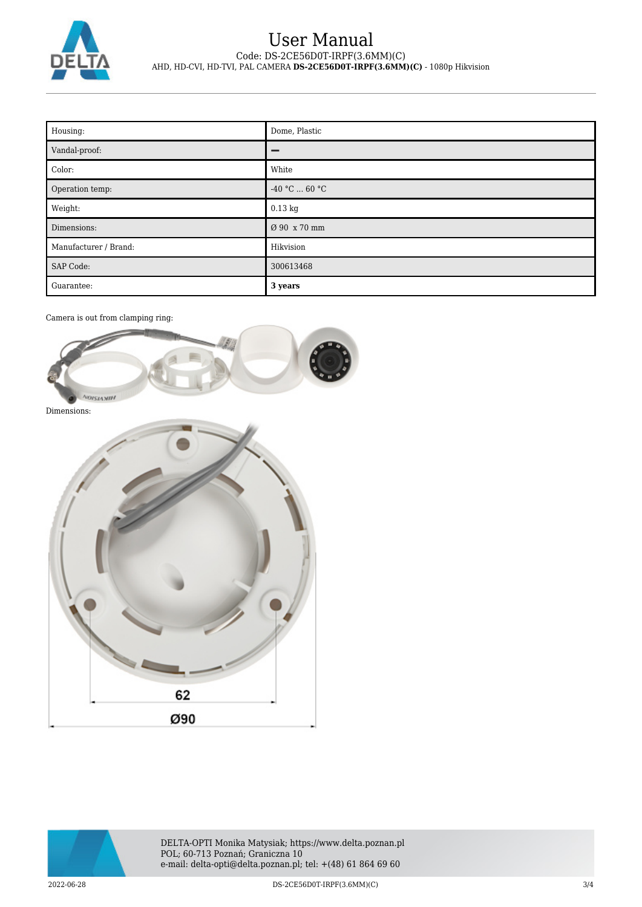

# User Manual Code: DS-2CE56D0T-IRPF(3.6MM)(C) AHD, HD-CVI, HD-TVI, PAL CAMERA **DS-2CE56D0T-IRPF(3.6MM)(C)** - 1080p Hikvision

| Housing:              | Dome, Plastic   |
|-----------------------|-----------------|
| Vandal-proof:         | -               |
| Color:                | White           |
| Operation temp:       | $-40 °C  60 °C$ |
| Weight:               | $0.13$ kg       |
| Dimensions:           | Ø 90 x 70 mm    |
| Manufacturer / Brand: | Hikvision       |
| <b>SAP Code:</b>      | 300613468       |
| Guarantee:            | 3 years         |

Camera is out from clamping ring:



Dimensions: